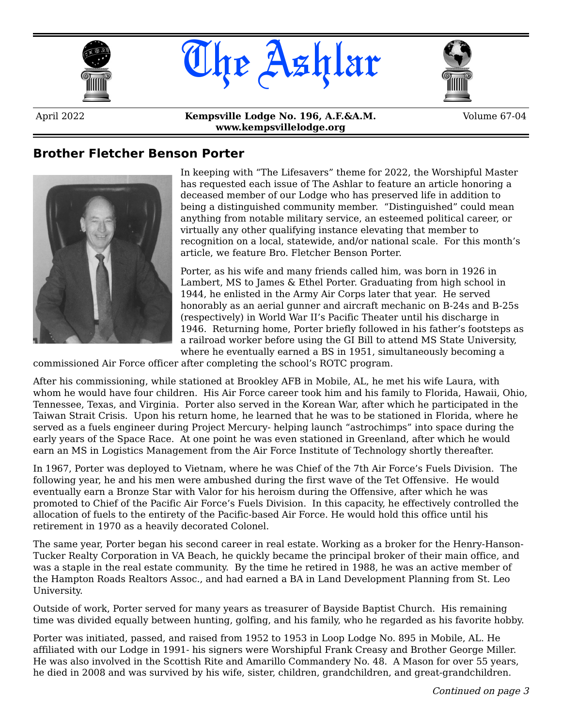





April 2022 **Kempsville Lodge No. 196, A.F.&A.M. www.kempsvillelodge.org**

Volume 67-04

#### **Brother Fletcher Benson Porter**



In keeping with "The Lifesavers" theme for 2022, the Worshipful Master has requested each issue of The Ashlar to feature an article honoring a deceased member of our Lodge who has preserved life in addition to being a distinguished community member. "Distinguished" could mean anything from notable military service, an esteemed political career, or virtually any other qualifying instance elevating that member to recognition on a local, statewide, and/or national scale. For this month's article, we feature Bro. Fletcher Benson Porter.

Porter, as his wife and many friends called him, was born in 1926 in Lambert, MS to James & Ethel Porter. Graduating from high school in 1944, he enlisted in the Army Air Corps later that year. He served honorably as an aerial gunner and aircraft mechanic on B-24s and B-25s (respectively) in World War II's Pacific Theater until his discharge in 1946. Returning home, Porter briefly followed in his father's footsteps as a railroad worker before using the GI Bill to attend MS State University, where he eventually earned a BS in 1951, simultaneously becoming a

commissioned Air Force officer after completing the school's ROTC program.

After his commissioning, while stationed at Brookley AFB in Mobile, AL, he met his wife Laura, with whom he would have four children. His Air Force career took him and his family to Florida, Hawaii, Ohio, Tennessee, Texas, and Virginia. Porter also served in the Korean War, after which he participated in the Taiwan Strait Crisis. Upon his return home, he learned that he was to be stationed in Florida, where he served as a fuels engineer during Project Mercury- helping launch "astrochimps" into space during the early years of the Space Race. At one point he was even stationed in Greenland, after which he would earn an MS in Logistics Management from the Air Force Institute of Technology shortly thereafter.

In 1967, Porter was deployed to Vietnam, where he was Chief of the 7th Air Force's Fuels Division. The following year, he and his men were ambushed during the first wave of the Tet Offensive. He would eventually earn a Bronze Star with Valor for his heroism during the Offensive, after which he was promoted to Chief of the Pacific Air Force's Fuels Division. In this capacity, he effectively controlled the allocation of fuels to the entirety of the Pacific-based Air Force. He would hold this office until his retirement in 1970 as a heavily decorated Colonel.

The same year, Porter began his second career in real estate. Working as a broker for the Henry-Hanson-Tucker Realty Corporation in VA Beach, he quickly became the principal broker of their main office, and was a staple in the real estate community. By the time he retired in 1988, he was an active member of the Hampton Roads Realtors Assoc., and had earned a BA in Land Development Planning from St. Leo University.

Outside of work, Porter served for many years as treasurer of Bayside Baptist Church. His remaining time was divided equally between hunting, golfing, and his family, who he regarded as his favorite hobby.

Porter was initiated, passed, and raised from 1952 to 1953 in Loop Lodge No. 895 in Mobile, AL. He affiliated with our Lodge in 1991- his signers were Worshipful Frank Creasy and Brother George Miller. He was also involved in the Scottish Rite and Amarillo Commandery No. 48. A Mason for over 55 years, he died in 2008 and was survived by his wife, sister, children, grandchildren, and great-grandchildren.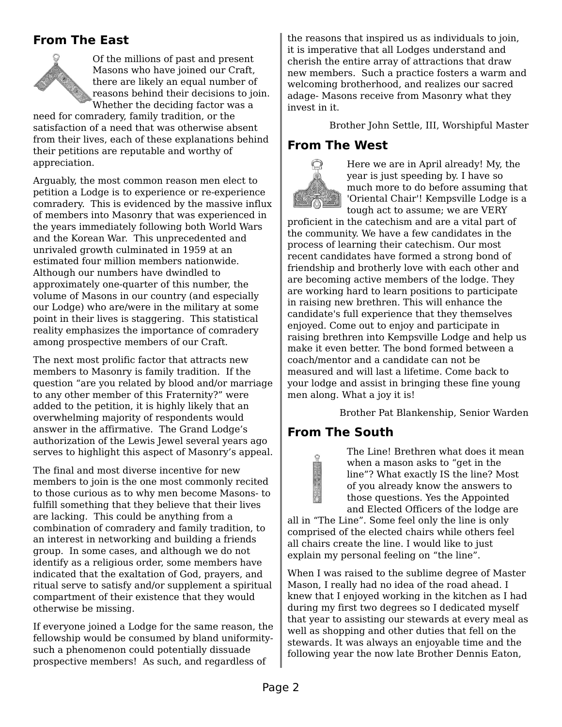### **From The East**



Of the millions of past and present Masons who have joined our Craft, there are likely an equal number of reasons behind their decisions to join. Whether the deciding factor was a

need for comradery, family tradition, or the satisfaction of a need that was otherwise absent from their lives, each of these explanations behind their petitions are reputable and worthy of appreciation.

Arguably, the most common reason men elect to petition a Lodge is to experience or re-experience comradery. This is evidenced by the massive influx of members into Masonry that was experienced in the years immediately following both World Wars and the Korean War. This unprecedented and unrivaled growth culminated in 1959 at an estimated four million members nationwide. Although our numbers have dwindled to approximately one-quarter of this number, the volume of Masons in our country (and especially our Lodge) who are/were in the military at some point in their lives is staggering. This statistical reality emphasizes the importance of comradery among prospective members of our Craft.

The next most prolific factor that attracts new members to Masonry is family tradition. If the question "are you related by blood and/or marriage to any other member of this Fraternity?" were added to the petition, it is highly likely that an overwhelming majority of respondents would answer in the affirmative. The Grand Lodge's authorization of the Lewis Jewel several years ago serves to highlight this aspect of Masonry's appeal.

The final and most diverse incentive for new members to join is the one most commonly recited to those curious as to why men become Masons- to fulfill something that they believe that their lives are lacking. This could be anything from a combination of comradery and family tradition, to an interest in networking and building a friends group. In some cases, and although we do not identify as a religious order, some members have indicated that the exaltation of God, prayers, and ritual serve to satisfy and/or supplement a spiritual compartment of their existence that they would otherwise be missing.

If everyone joined a Lodge for the same reason, the fellowship would be consumed by bland uniformitysuch a phenomenon could potentially dissuade prospective members! As such, and regardless of

the reasons that inspired us as individuals to join, it is imperative that all Lodges understand and cherish the entire array of attractions that draw new members. Such a practice fosters a warm and welcoming brotherhood, and realizes our sacred adage- Masons receive from Masonry what they invest in it.

Brother John Settle, III, Worshipful Master

#### **From The West**



Here we are in April already! My, the year is just speeding by. I have so much more to do before assuming that 'Oriental Chair'! Kempsville Lodge is a tough act to assume; we are VERY

proficient in the catechism and are a vital part of the community. We have a few candidates in the process of learning their catechism. Our most recent candidates have formed a strong bond of friendship and brotherly love with each other and are becoming active members of the lodge. They are working hard to learn positions to participate in raising new brethren. This will enhance the candidate's full experience that they themselves enjoyed. Come out to enjoy and participate in raising brethren into Kempsville Lodge and help us make it even better. The bond formed between a coach/mentor and a candidate can not be measured and will last a lifetime. Come back to your lodge and assist in bringing these fine young men along. What a joy it is!

Brother Pat Blankenship, Senior Warden

### **From The South**

The Line! Brethren what does it mean when a mason asks to "get in the line"? What exactly IS the line? Most of you already know the answers to those questions. Yes the Appointed and Elected Officers of the lodge are

all in "The Line". Some feel only the line is only comprised of the elected chairs while others feel all chairs create the line. I would like to just explain my personal feeling on "the line".

When I was raised to the sublime degree of Master Mason, I really had no idea of the road ahead. I knew that I enjoyed working in the kitchen as I had during my first two degrees so I dedicated myself that year to assisting our stewards at every meal as well as shopping and other duties that fell on the stewards. It was always an enjoyable time and the following year the now late Brother Dennis Eaton,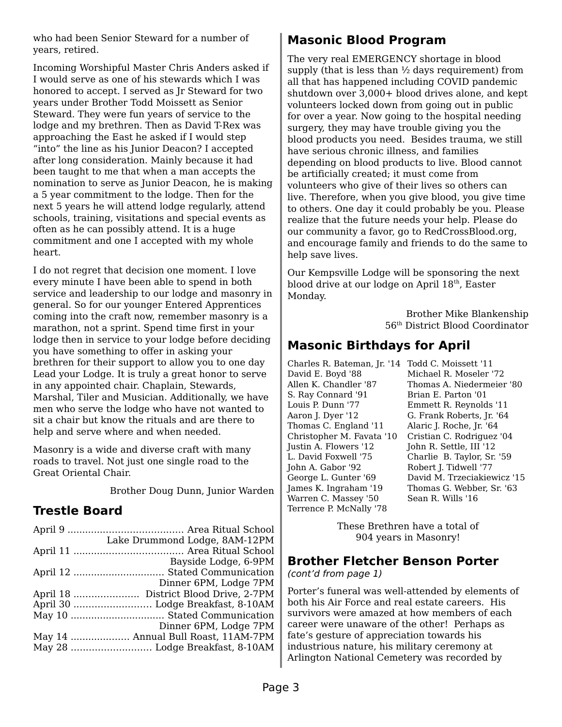who had been Senior Steward for a number of years, retired.

Incoming Worshipful Master Chris Anders asked if I would serve as one of his stewards which I was honored to accept. I served as Jr Steward for two years under Brother Todd Moissett as Senior Steward. They were fun years of service to the lodge and my brethren. Then as David T-Rex was approaching the East he asked if I would step "into" the line as his Junior Deacon? I accepted after long consideration. Mainly because it had been taught to me that when a man accepts the nomination to serve as Junior Deacon, he is making a 5 year commitment to the lodge. Then for the next 5 years he will attend lodge regularly, attend schools, training, visitations and special events as often as he can possibly attend. It is a huge commitment and one I accepted with my whole heart.

I do not regret that decision one moment. I love every minute I have been able to spend in both service and leadership to our lodge and masonry in general. So for our younger Entered Apprentices coming into the craft now, remember masonry is a marathon, not a sprint. Spend time first in your lodge then in service to your lodge before deciding you have something to offer in asking your brethren for their support to allow you to one day Lead your Lodge. It is truly a great honor to serve in any appointed chair. Chaplain, Stewards, Marshal, Tiler and Musician. Additionally, we have men who serve the lodge who have not wanted to sit a chair but know the rituals and are there to help and serve where and when needed.

Masonry is a wide and diverse craft with many roads to travel. Not just one single road to the Great Oriental Chair.

Brother Doug Dunn, Junior Warden

### **Trestle Board**

| Lake Drummond Lodge, 8AM-12PM       |
|-------------------------------------|
|                                     |
| Bayside Lodge, 6-9PM                |
|                                     |
| Dinner 6PM, Lodge 7PM               |
|                                     |
|                                     |
|                                     |
| Dinner 6PM, Lodge 7PM               |
| May 14  Annual Bull Roast, 11AM-7PM |
|                                     |
|                                     |

### **Masonic Blood Program**

The very real EMERGENCY shortage in blood supply (that is less than ½ days requirement) from all that has happened including COVID pandemic shutdown over 3,000+ blood drives alone, and kept volunteers locked down from going out in public for over a year. Now going to the hospital needing surgery, they may have trouble giving you the blood products you need. Besides trauma, we still have serious chronic illness, and families depending on blood products to live. Blood cannot be artificially created; it must come from volunteers who give of their lives so others can live. Therefore, when you give blood, you give time to others. One day it could probably be you. Please realize that the future needs your help. Please do our community a favor, go to RedCrossBlood.org, and encourage family and friends to do the same to help save lives.

Our Kempsville Lodge will be sponsoring the next blood drive at our lodge on April 18<sup>th</sup>, Easter Monday.

> Brother Mike Blankenship 56th District Blood Coordinator

### **Masonic Birthdays for April**

Charles R. Bateman, Jr. '14 Todd C. Moissett '11 David E. Boyd '88 Allen K. Chandler '87 S. Ray Connard '91 Louis P. Dunn '77 Aaron J. Dyer '12 Thomas C. England '11 Christopher M. Favata '10 Justin A. Flowers '12 L. David Foxwell '75 John A. Gabor '92 George L. Gunter '69 James K. Ingraham '19 Warren C. Massey '50 Terrence P. McNally '78

Michael R. Moseler '72 Thomas A. Niedermeier '80 Brian E. Parton '01 Emmett R. Reynolds '11 G. Frank Roberts, Jr. '64 Alaric J. Roche, Jr. '64 Cristian C. Rodriguez '04 John R. Settle, III '12 Charlie B. Taylor, Sr. '59 Robert J. Tidwell '77 David M. Trzeciakiewicz '15 Thomas G. Webber, Sr. '63 Sean R. Wills '16

These Brethren have a total of 904 years in Masonry!

#### **Brother Fletcher Benson Porter**

(cont'd from page 1)

Porter's funeral was well-attended by elements of both his Air Force and real estate careers. His survivors were amazed at how members of each career were unaware of the other! Perhaps as fate's gesture of appreciation towards his industrious nature, his military ceremony at Arlington National Cemetery was recorded by